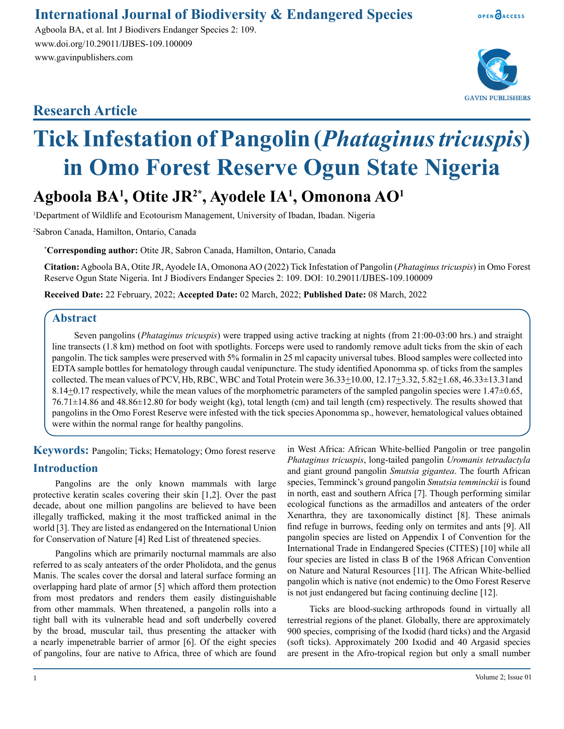### **International Journal of Biodiversity & Endangered Species**

Agboola BA, et al. Int J Biodivers Endanger Species 2: 109. www.doi.org/10.29011/IJBES-109.100009 www.gavinpublishers.com

## **Research Article**



OPEN OACCESS

# **Tick Infestation of Pangolin (***Phataginus tricuspis***) in Omo Forest Reserve Ogun State Nigeria**

# **Agboola BA1 , Otite JR2\*, Ayodele IA1 , Omonona AO1**

1 Department of Wildlife and Ecotourism Management, University of Ibadan, Ibadan. Nigeria

2 Sabron Canada, Hamilton, Ontario, Canada

**\* Corresponding author:** Otite JR, Sabron Canada, Hamilton, Ontario, Canada

**Citation:** Agboola BA, Otite JR, Ayodele IA, Omonona AO (2022) Tick Infestation of Pangolin (*Phataginus tricuspis*) in Omo Forest Reserve Ogun State Nigeria. Int J Biodivers Endanger Species 2: 109. DOI: 10.29011/IJBES-109.100009

**Received Date:** 22 February, 2022; **Accepted Date:** 02 March, 2022; **Published Date:** 08 March, 2022

#### **Abstract**

Seven pangolins (*Phataginus tricuspis*) were trapped using active tracking at nights (from 21:00-03:00 hrs.) and straight line transects (1.8 km) method on foot with spotlights. Forceps were used to randomly remove adult ticks from the skin of each pangolin. The tick samples were preserved with 5% formalin in 25 ml capacity universal tubes. Blood samples were collected into EDTA sample bottles for hematology through caudal venipuncture. The study identified Aponomma sp. of ticks from the samples collected. The mean values of PCV, Hb, RBC, WBC and Total Protein were  $36.33\pm10.00$ ,  $12.17\pm3.32$ ,  $5.82\pm1.68$ ,  $46.33\pm13.31$ and 8.14 $\pm$ 0.17 respectively, while the mean values of the morphometric parameters of the sampled pangolin species were 1.47 $\pm$ 0.65, 76.71±14.86 and 48.86±12.80 for body weight (kg), total length (cm) and tail length (cm) respectively. The results showed that pangolins in the Omo Forest Reserve were infested with the tick species Aponomma sp., however, hematological values obtained were within the normal range for healthy pangolins.

**Keywords:** Pangolin; Ticks; Hematology; Omo forest reserve **Introduction**

Pangolins are the only known mammals with large protective keratin scales covering their skin [1,2]. Over the past decade, about one million pangolins are believed to have been illegally trafficked, making it the most trafficked animal in the world [3]. They are listed as endangered on the International Union for Conservation of Nature [4] Red List of threatened species.

Pangolins which are primarily nocturnal mammals are also referred to as scaly anteaters of the order Pholidota, and the genus Manis. The scales cover the dorsal and lateral surface forming an overlapping hard plate of armor [5] which afford them protection from most predators and renders them easily distinguishable from other mammals. When threatened, a pangolin rolls into a tight ball with its vulnerable head and soft underbelly covered by the broad, muscular tail, thus presenting the attacker with a nearly impenetrable barrier of armor [6]. Of the eight species of pangolins, four are native to Africa, three of which are found

in West Africa: African White-bellied Pangolin or tree pangolin *Phataginus tricuspis*, long-tailed pangolin *Uromanis tetradactyla* and giant ground pangolin *Smutsia gigantea*. The fourth African species, Temminck's ground pangolin *Smutsia temminckii* is found in north, east and southern Africa [7]. Though performing similar ecological functions as the armadillos and anteaters of the order Xenarthra, they are taxonomically distinct [8]. These animals find refuge in burrows, feeding only on termites and ants [9]. All pangolin species are listed on Appendix I of Convention for the International Trade in Endangered Species (CITES) [10] while all four species are listed in class B of the 1968 African Convention on Nature and Natural Resources [11]. The African White-bellied pangolin which is native (not endemic) to the Omo Forest Reserve is not just endangered but facing continuing decline [12].

Ticks are blood-sucking arthropods found in virtually all terrestrial regions of the planet. Globally, there are approximately 900 species, comprising of the Ixodid (hard ticks) and the Argasid (soft ticks). Approximately 200 Ixodid and 40 Argasid species are present in the Afro-tropical region but only a small number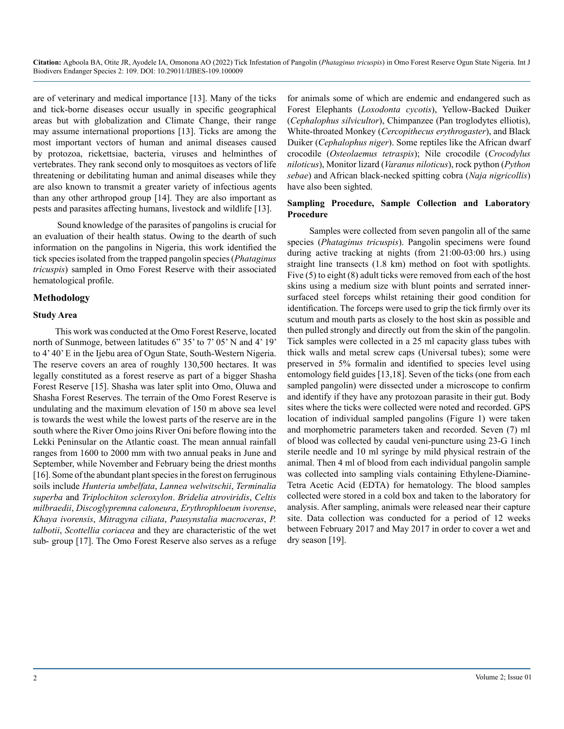are of veterinary and medical importance [13]. Many of the ticks and tick-borne diseases occur usually in specific geographical areas but with globalization and Climate Change, their range may assume international proportions [13]. Ticks are among the most important vectors of human and animal diseases caused by protozoa, rickettsiae, bacteria, viruses and helminthes of vertebrates. They rank second only to mosquitoes as vectors of life threatening or debilitating human and animal diseases while they are also known to transmit a greater variety of infectious agents than any other arthropod group [14]. They are also important as pests and parasites affecting humans, livestock and wildlife [13].

 Sound knowledge of the parasites of pangolins is crucial for an evaluation of their health status. Owing to the dearth of such information on the pangolins in Nigeria, this work identified the tick species isolated from the trapped pangolin species (*Phataginus tricuspis*) sampled in Omo Forest Reserve with their associated hematological profile.

#### **Methodology**

#### **Study Area**

This work was conducted at the Omo Forest Reserve, located north of Sunmoge, between latitudes 6" 35' to 7' 05' N and 4' 19' to 4' 40' E in the Ijebu area of Ogun State, South-Western Nigeria. The reserve covers an area of roughly 130,500 hectares. It was legally constituted as a forest reserve as part of a bigger Shasha Forest Reserve [15]. Shasha was later split into Omo, Oluwa and Shasha Forest Reserves. The terrain of the Omo Forest Reserve is undulating and the maximum elevation of 150 m above sea level is towards the west while the lowest parts of the reserve are in the south where the River Omo joins River Oni before flowing into the Lekki Peninsular on the Atlantic coast. The mean annual rainfall ranges from 1600 to 2000 mm with two annual peaks in June and September, while November and February being the driest months [16]. Some of the abundant plant species in the forest on ferruginous soils include *Hunteria umbelfata*, *Lannea welwitschii*, *Terminalia superba* and *Triplochiton scleroxylon*. *Bridelia atroviridis*, *Celtis milbraedii*, *Discoglypremna caloneura*, *Erythrophloeum ivorense*, *Khaya ivorensis*, *Mitragyna ciliata*, *Pausynstalia macroceras*, *P. talbotii*, *Scottellia coriacea* and they are characteristic of the wet sub- group [17]. The Omo Forest Reserve also serves as a refuge

for animals some of which are endemic and endangered such as Forest Elephants (*Loxodonta cycotis*), Yellow-Backed Duiker (*Cephalophus silvicultor*), Chimpanzee (Pan troglodytes elliotis), White-throated Monkey (*Cercopithecus erythrogaster*), and Black Duiker (*Cephalophus niger*). Some reptiles like the African dwarf crocodile (*Osteolaemus tetraspis*); Nile crocodile (*Crocodylus niloticus*), Monitor lizard (*Varanus niloticus*), rock python (*Python sebae*) and African black-necked spitting cobra (*Naja nigricollis*) have also been sighted.

#### **Sampling Procedure, Sample Collection and Laboratory Procedure**

Samples were collected from seven pangolin all of the same species (*Phataginus tricuspis*). Pangolin specimens were found during active tracking at nights (from 21:00-03:00 hrs.) using straight line transects (1.8 km) method on foot with spotlights. Five (5) to eight (8) adult ticks were removed from each of the host skins using a medium size with blunt points and serrated innersurfaced steel forceps whilst retaining their good condition for identification. The forceps were used to grip the tick firmly over its scutum and mouth parts as closely to the host skin as possible and then pulled strongly and directly out from the skin of the pangolin. Tick samples were collected in a 25 ml capacity glass tubes with thick walls and metal screw caps (Universal tubes); some were preserved in 5% formalin and identified to species level using entomology field guides [13,18]. Seven of the ticks (one from each sampled pangolin) were dissected under a microscope to confirm and identify if they have any protozoan parasite in their gut. Body sites where the ticks were collected were noted and recorded. GPS location of individual sampled pangolins (Figure 1) were taken and morphometric parameters taken and recorded. Seven (7) ml of blood was collected by caudal veni-puncture using 23-G 1inch sterile needle and 10 ml syringe by mild physical restrain of the animal. Then 4 ml of blood from each individual pangolin sample was collected into sampling vials containing Ethylene-Diamine-Tetra Acetic Acid (EDTA) for hematology. The blood samples collected were stored in a cold box and taken to the laboratory for analysis. After sampling, animals were released near their capture site. Data collection was conducted for a period of 12 weeks between February 2017 and May 2017 in order to cover a wet and dry season [19].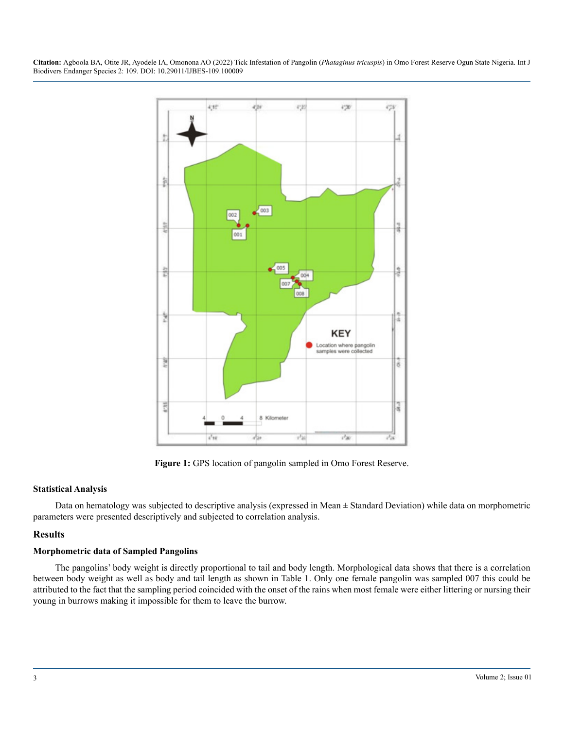

**Figure 1:** GPS location of pangolin sampled in Omo Forest Reserve.

#### **Statistical Analysis**

Data on hematology was subjected to descriptive analysis (expressed in Mean  $\pm$  Standard Deviation) while data on morphometric parameters were presented descriptively and subjected to correlation analysis.

#### **Results**

#### **Morphometric data of Sampled Pangolins**

The pangolins' body weight is directly proportional to tail and body length. Morphological data shows that there is a correlation between body weight as well as body and tail length as shown in Table 1. Only one female pangolin was sampled 007 this could be attributed to the fact that the sampling period coincided with the onset of the rains when most female were either littering or nursing their young in burrows making it impossible for them to leave the burrow.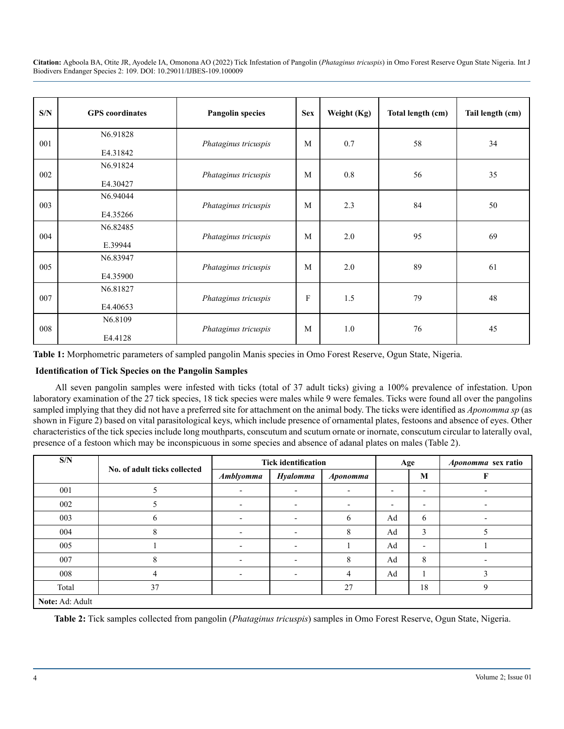| S/N | <b>GPS</b> coordinates | <b>Pangolin species</b> | <b>Sex</b> | Weight (Kg) | Total length (cm) | Tail length (cm) |
|-----|------------------------|-------------------------|------------|-------------|-------------------|------------------|
| 001 | N6.91828<br>E4.31842   | Phataginus tricuspis    | M          | 0.7         | 58                | 34               |
| 002 | N6.91824<br>E4.30427   | Phataginus tricuspis    | M          | 0.8         | 56                | 35               |
| 003 | N6.94044<br>E4.35266   | Phataginus tricuspis    | M          | 2.3         | 84                | 50               |
| 004 | N6.82485<br>E.39944    | Phataginus tricuspis    | M          | 2.0         | 95                | 69               |
| 005 | N6.83947<br>E4.35900   | Phataginus tricuspis    | M          | 2.0         | 89                | 61               |
| 007 | N6.81827<br>E4.40653   | Phataginus tricuspis    | F          | 1.5         | 79                | 48               |
| 008 | N6.8109<br>E4.4128     | Phataginus tricuspis    | M          | $1.0\,$     | 76                | 45               |

**Table 1:** Morphometric parameters of sampled pangolin Manis species in Omo Forest Reserve, Ogun State, Nigeria.

#### **Identification of Tick Species on the Pangolin Samples**

All seven pangolin samples were infested with ticks (total of 37 adult ticks) giving a 100% prevalence of infestation. Upon laboratory examination of the 27 tick species, 18 tick species were males while 9 were females. Ticks were found all over the pangolins sampled implying that they did not have a preferred site for attachment on the animal body. The ticks were identified as *Aponomma sp* (as shown in Figure 2) based on vital parasitological keys, which include presence of ornamental plates, festoons and absence of eyes. Other characteristics of the tick species include long mouthparts, conscutum and scutum ornate or inornate, conscutum circular to laterally oval, presence of a festoon which may be inconspicuous in some species and absence of adanal plates on males (Table 2).

| S/N             | No. of adult ticks collected | <b>Tick identification</b> |                          |                          |                          | Age                      | <i>Aponomma</i> sex ratio |  |  |
|-----------------|------------------------------|----------------------------|--------------------------|--------------------------|--------------------------|--------------------------|---------------------------|--|--|
|                 |                              | <b>Amblyomma</b>           | <b>Hyalomma</b>          | <i><b>Aponomma</b></i>   |                          | M                        | F                         |  |  |
| 001             |                              | $\overline{\phantom{0}}$   | $\overline{\phantom{0}}$ | $\overline{\phantom{a}}$ | $\overline{\phantom{a}}$ | $\overline{\phantom{a}}$ |                           |  |  |
| 002             |                              | $\overline{\phantom{a}}$   | $\overline{\phantom{a}}$ | $\overline{\phantom{a}}$ | $\overline{\phantom{a}}$ | $\overline{\phantom{a}}$ | $\overline{\phantom{0}}$  |  |  |
| 003             | 6                            |                            | $\overline{\phantom{0}}$ | 6                        | Ad                       | 6                        |                           |  |  |
| 004             | 8                            |                            |                          | 8                        | Ad                       | 3                        |                           |  |  |
| 005             |                              | -                          | $\overline{\phantom{a}}$ |                          | Ad                       | $\overline{\phantom{a}}$ |                           |  |  |
| 007             | 8                            |                            | $\overline{\phantom{0}}$ | 8                        | Ad                       | 8                        |                           |  |  |
| 008             | 4                            |                            |                          | 4                        | Ad                       | ш                        | 3                         |  |  |
| Total           | 37                           |                            |                          | 27                       |                          | 18                       | 9                         |  |  |
| Note: Ad: Adult |                              |                            |                          |                          |                          |                          |                           |  |  |

**Table 2:** Tick samples collected from pangolin (*Phataginus tricuspis*) samples in Omo Forest Reserve, Ogun State, Nigeria.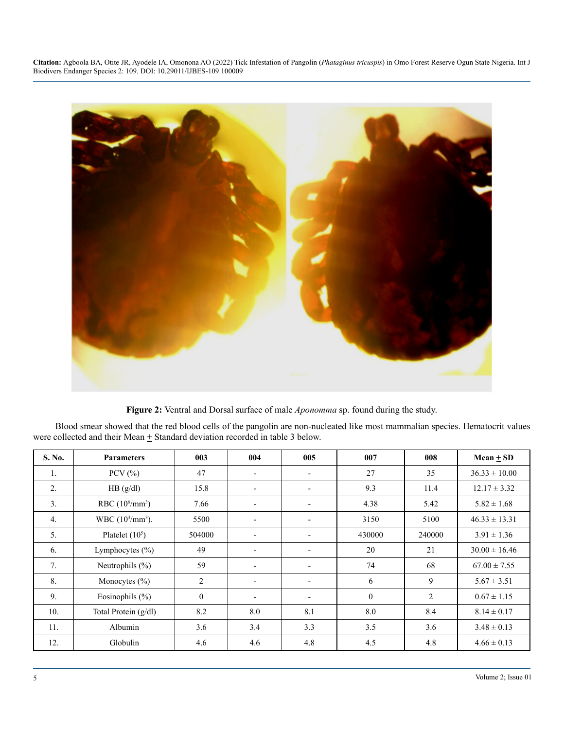

**Figure 2:** Ventral and Dorsal surface of male *Aponomma* sp. found during the study.

Blood smear showed that the red blood cells of the pangolin are non-nucleated like most mammalian species. Hematocrit values were collected and their Mean  $\pm$  Standard deviation recorded in table 3 below.

| S. No. | <b>Parameters</b>                        | 003            | 004                      | 005                      | 007          | 008            | Mean $\pm$ SD     |
|--------|------------------------------------------|----------------|--------------------------|--------------------------|--------------|----------------|-------------------|
| 1.     | PCV $(\% )$                              | 47             | $\overline{\phantom{a}}$ | $\overline{\phantom{a}}$ | 27           | 35             | $36.33 \pm 10.00$ |
| 2.     | HB (g/dl)                                | 15.8           | $\overline{\phantom{a}}$ | $\overline{\phantom{a}}$ | 9.3          | 11.4           | $12.17 \pm 3.32$  |
| 3.     | RBC $(10^6/\text{mm}^3)$                 | 7.66           | $\overline{\phantom{a}}$ | $\overline{\phantom{a}}$ | 4.38         | 5.42           | $5.82 \pm 1.68$   |
| 4.     | WBC (10 <sup>3</sup> /mm <sup>3</sup> ). | 5500           | $\overline{\phantom{a}}$ | $\overline{\phantom{a}}$ | 3150         | 5100           | $46.33 \pm 13.31$ |
| 5.     | Platelet $(10^5)$                        | 504000         | $\overline{\phantom{a}}$ |                          | 430000       | 240000         | $3.91 \pm 1.36$   |
| 6.     | Lymphocytes $(\% )$                      | 49             | $\overline{\phantom{a}}$ | $\overline{\phantom{a}}$ | 20           | 21             | $30.00 \pm 16.46$ |
| 7.     | Neutrophils $(\% )$                      | 59             | $\overline{\phantom{a}}$ | $\overline{\phantom{0}}$ | 74           | 68             | $67.00 \pm 7.55$  |
| 8.     | Monocytes $(\% )$                        | $\overline{2}$ | $\overline{\phantom{a}}$ |                          | 6            | 9              | $5.67 \pm 3.51$   |
| 9.     | Eosinophils $(\% )$                      | $\mathbf{0}$   | $\overline{\phantom{a}}$ | $\blacksquare$           | $\mathbf{0}$ | $\overline{2}$ | $0.67 \pm 1.15$   |
| 10.    | Total Protein (g/dl)                     | 8.2            | 8.0                      | 8.1                      | 8.0          | 8.4            | $8.14 \pm 0.17$   |
| 11.    | Albumin                                  | 3.6            | 3.4                      | 3.3                      | 3.5          | 3.6            | $3.48 \pm 0.13$   |
| 12.    | Globulin                                 | 4.6            | 4.6                      | 4.8                      | 4.5          | 4.8            | $4.66 \pm 0.13$   |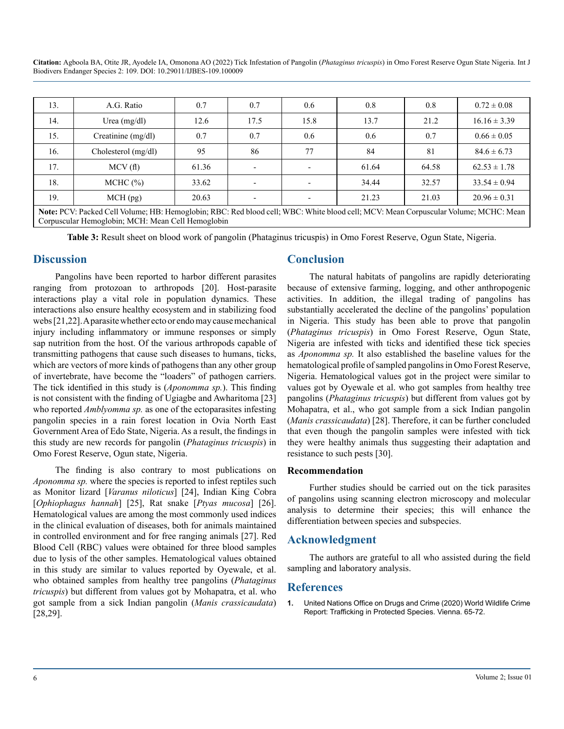| 13.                                                                                                                                                                                      | A.G. Ratio            | 0.7   | 0.7                      | 0.6  | 0.8   | 0.8   | $0.72 \pm 0.08$  |
|------------------------------------------------------------------------------------------------------------------------------------------------------------------------------------------|-----------------------|-------|--------------------------|------|-------|-------|------------------|
| 14.                                                                                                                                                                                      | Urea $(mg/dl)$        | 12.6  | 17.5                     | 15.8 | 13.7  | 21.2  | $16.16 \pm 3.39$ |
| 15.                                                                                                                                                                                      | Creatinine (mg/dl)    | 0.7   | 0.7                      | 0.6  | 0.6   | 0.7   | $0.66 \pm 0.05$  |
| 16.                                                                                                                                                                                      | Cholesterol $(mg/dl)$ | 95    | 86                       | 77   | 84    | 81    | $84.6 \pm 6.73$  |
| 17.                                                                                                                                                                                      | MCV(f)                | 61.36 |                          |      | 61.64 | 64.58 | $62.53 \pm 1.78$ |
| 18.                                                                                                                                                                                      | MCHC (%)              | 33.62 | $\overline{\phantom{0}}$ |      | 34.44 | 32.57 | $33.54 \pm 0.94$ |
| 19.                                                                                                                                                                                      | MCH(pg)               | 20.63 | $\overline{\phantom{0}}$ |      | 21.23 | 21.03 | $20.96 \pm 0.31$ |
| Note: PCV: Packed Cell Volume; HB: Hemoglobin; RBC: Red blood cell; WBC: White blood cell; MCV: Mean Corpuscular Volume; MCHC: Mean<br>Corpuscular Hemoglobin; MCH: Mean Cell Hemoglobin |                       |       |                          |      |       |       |                  |

**Table 3:** Result sheet on blood work of pangolin (Phataginus tricuspis) in Omo Forest Reserve, Ogun State, Nigeria.

#### **Discussion**

Pangolins have been reported to harbor different parasites ranging from protozoan to arthropods [20]. Host-parasite interactions play a vital role in population dynamics. These interactions also ensure healthy ecosystem and in stabilizing food webs [21,22]. A parasite whether ecto or endo may cause mechanical injury including inflammatory or immune responses or simply sap nutrition from the host. Of the various arthropods capable of transmitting pathogens that cause such diseases to humans, ticks, which are vectors of more kinds of pathogens than any other group of invertebrate, have become the "loaders" of pathogen carriers. The tick identified in this study is (*Aponomma sp.*). This finding is not consistent with the finding of Ugiagbe and Awharitoma [23] who reported *Amblyomma sp.* as one of the ectoparasites infesting pangolin species in a rain forest location in Ovia North East Government Area of Edo State, Nigeria. As a result, the findings in this study are new records for pangolin (*Phataginus tricuspis*) in Omo Forest Reserve, Ogun state, Nigeria.

The finding is also contrary to most publications on *Aponomma sp.* where the species is reported to infest reptiles such as Monitor lizard [*Varanus niloticus*] [24], Indian King Cobra [*Ophiophagus hannah*] [25], Rat snake [*Ptyas mucosa*] [26]. Hematological values are among the most commonly used indices in the clinical evaluation of diseases, both for animals maintained in controlled environment and for free ranging animals [27]. Red Blood Cell (RBC) values were obtained for three blood samples due to lysis of the other samples. Hematological values obtained in this study are similar to values reported by Oyewale, et al. who obtained samples from healthy tree pangolins (*Phataginus tricuspis*) but different from values got by Mohapatra, et al. who got sample from a sick Indian pangolin (*Manis crassicaudata*) [28,29].

#### **Conclusion**

The natural habitats of pangolins are rapidly deteriorating because of extensive farming, logging, and other anthropogenic activities. In addition, the illegal trading of pangolins has substantially accelerated the decline of the pangolins' population in Nigeria. This study has been able to prove that pangolin (*Phataginus tricuspis*) in Omo Forest Reserve, Ogun State, Nigeria are infested with ticks and identified these tick species as *Aponomma sp.* It also established the baseline values for the hematological profile of sampled pangolins in Omo Forest Reserve, Nigeria. Hematological values got in the project were similar to values got by Oyewale et al. who got samples from healthy tree pangolins (*Phataginus tricuspis*) but different from values got by Mohapatra, et al., who got sample from a sick Indian pangolin (*Manis crassicaudata*) [28]. Therefore, it can be further concluded that even though the pangolin samples were infested with tick they were healthy animals thus suggesting their adaptation and resistance to such pests [30].

#### **Recommendation**

Further studies should be carried out on the tick parasites of pangolins using scanning electron microscopy and molecular analysis to determine their species; this will enhance the differentiation between species and subspecies.

#### **Acknowledgment**

The authors are grateful to all who assisted during the field sampling and laboratory analysis.

#### **References**

**1.** [United Nations Office on Drugs and Crime \(2020\) World Wildlife Crime](https://www.unodc.org/documents/data-and-analysis/wildlife/2020/World_Wildlife_Report_2020_9July.pdf)  [Report: Trafficking in Protected Species. Vienna. 65-72.](https://www.unodc.org/documents/data-and-analysis/wildlife/2020/World_Wildlife_Report_2020_9July.pdf)